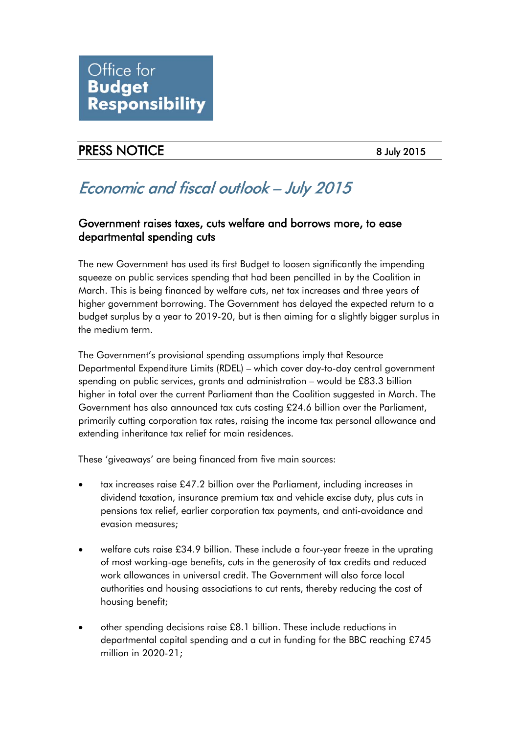

## PRESS NOTICE 8 July 2015

# Economic and fiscal outlook – July 2015

#### Government raises taxes, cuts welfare and borrows more, to ease departmental spending cuts

The new Government has used its first Budget to loosen significantly the impending squeeze on public services spending that had been pencilled in by the Coalition in March. This is being financed by welfare cuts, net tax increases and three years of higher government borrowing. The Government has delayed the expected return to a budget surplus by a year to 2019-20, but is then aiming for a slightly bigger surplus in the medium term.

The Government's provisional spending assumptions imply that Resource Departmental Expenditure Limits (RDEL) – which cover day-to-day central government spending on public services, grants and administration – would be £83.3 billion higher in total over the current Parliament than the Coalition suggested in March. The Government has also announced tax cuts costing £24.6 billion over the Parliament, primarily cutting corporation tax rates, raising the income tax personal allowance and extending inheritance tax relief for main residences.

These 'giveaways' are being financed from five main sources:

- tax increases raise £47.2 billion over the Parliament, including increases in dividend taxation, insurance premium tax and vehicle excise duty, plus cuts in pensions tax relief, earlier corporation tax payments, and anti-avoidance and evasion measures;
- welfare cuts raise £34.9 billion. These include a four-year freeze in the uprating of most working-age benefits, cuts in the generosity of tax credits and reduced work allowances in universal credit. The Government will also force local authorities and housing associations to cut rents, thereby reducing the cost of housing benefit;
- other spending decisions raise £8.1 billion. These include reductions in departmental capital spending and a cut in funding for the BBC reaching £745 million in 2020-21;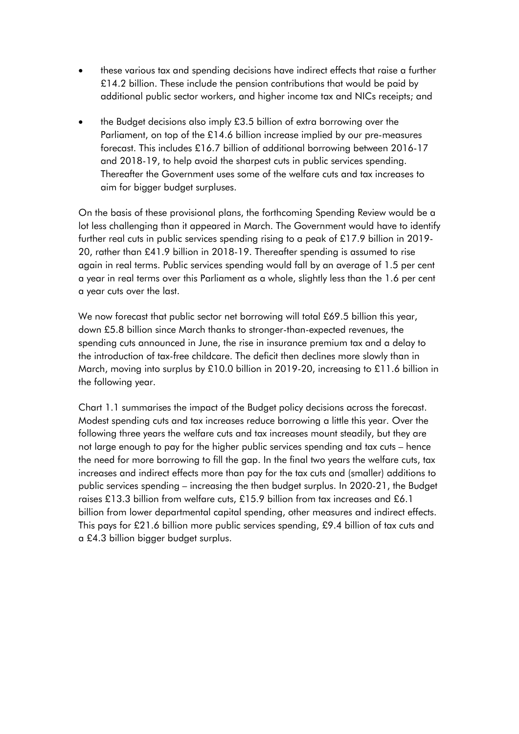- these various tax and spending decisions have indirect effects that raise a further £14.2 billion. These include the pension contributions that would be paid by additional public sector workers, and higher income tax and NICs receipts; and
- the Budget decisions also imply £3.5 billion of extra borrowing over the Parliament, on top of the £14.6 billion increase implied by our pre-measures forecast. This includes £16.7 billion of additional borrowing between 2016-17 and 2018-19, to help avoid the sharpest cuts in public services spending. Thereafter the Government uses some of the welfare cuts and tax increases to aim for bigger budget surpluses.

On the basis of these provisional plans, the forthcoming Spending Review would be a lot less challenging than it appeared in March. The Government would have to identify further real cuts in public services spending rising to a peak of £17.9 billion in 2019- 20, rather than £41.9 billion in 2018-19. Thereafter spending is assumed to rise again in real terms. Public services spending would fall by an average of 1.5 per cent a year in real terms over this Parliament as a whole, slightly less than the 1.6 per cent a year cuts over the last.

We now forecast that public sector net borrowing will total £69.5 billion this year, down £5.8 billion since March thanks to stronger-than-expected revenues, the spending cuts announced in June, the rise in insurance premium tax and a delay to the introduction of tax-free childcare. The deficit then declines more slowly than in March, moving into surplus by £10.0 billion in 2019-20, increasing to £11.6 billion in the following year.

Chart 1.1 summarises the impact of the Budget policy decisions across the forecast. Modest spending cuts and tax increases reduce borrowing a little this year. Over the following three years the welfare cuts and tax increases mount steadily, but they are not large enough to pay for the higher public services spending and tax cuts – hence the need for more borrowing to fill the gap. In the final two years the welfare cuts, tax increases and indirect effects more than pay for the tax cuts and (smaller) additions to public services spending – increasing the then budget surplus. In 2020-21, the Budget raises £13.3 billion from welfare cuts, £15.9 billion from tax increases and £6.1 billion from lower departmental capital spending, other measures and indirect effects. This pays for £21.6 billion more public services spending, £9.4 billion of tax cuts and a £4.3 billion bigger budget surplus.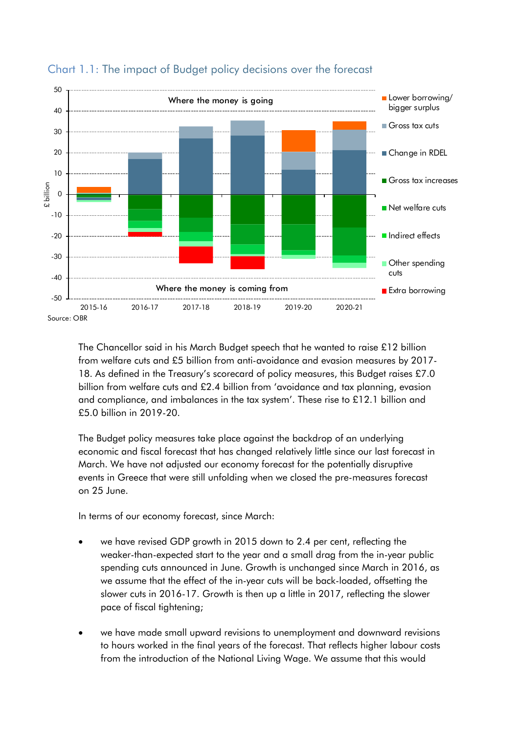

### Chart 1.1: The impact of Budget policy decisions over the forecast

The Chancellor said in his March Budget speech that he wanted to raise £12 billion from welfare cuts and £5 billion from anti-avoidance and evasion measures by 2017- 18. As defined in the Treasury's scorecard of policy measures, this Budget raises £7.0 billion from welfare cuts and £2.4 billion from 'avoidance and tax planning, evasion and compliance, and imbalances in the tax system'. These rise to £12.1 billion and £5.0 billion in 2019-20.

The Budget policy measures take place against the backdrop of an underlying economic and fiscal forecast that has changed relatively little since our last forecast in March. We have not adjusted our economy forecast for the potentially disruptive events in Greece that were still unfolding when we closed the pre-measures forecast on 25 June.

In terms of our economy forecast, since March:

- we have revised GDP growth in 2015 down to 2.4 per cent, reflecting the weaker-than-expected start to the year and a small drag from the in-year public spending cuts announced in June. Growth is unchanged since March in 2016, as we assume that the effect of the in-year cuts will be back-loaded, offsetting the slower cuts in 2016-17. Growth is then up a little in 2017, reflecting the slower pace of fiscal tightening;
- we have made small upward revisions to unemployment and downward revisions to hours worked in the final years of the forecast. That reflects higher labour costs from the introduction of the National Living Wage. We assume that this would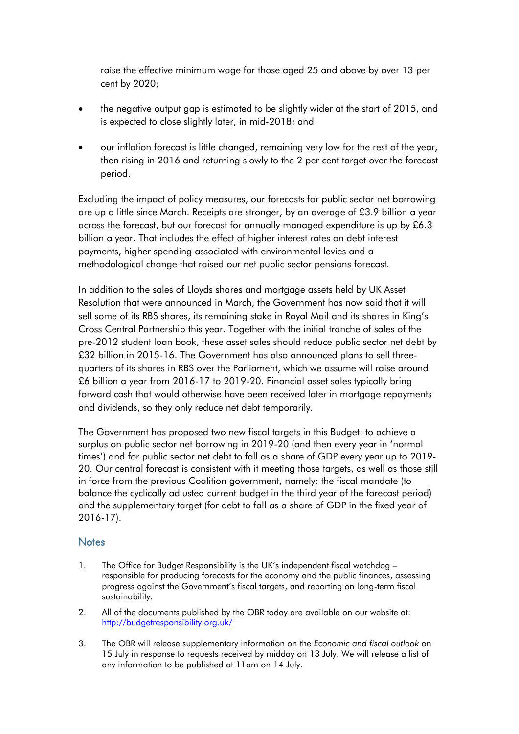raise the effective minimum wage for those aged 25 and above by over 13 per cent by 2020;

- the negative output gap is estimated to be slightly wider at the start of 2015, and is expected to close slightly later, in mid-2018; and
- our inflation forecast is little changed, remaining very low for the rest of the year, then rising in 2016 and returning slowly to the 2 per cent target over the forecast period.

Excluding the impact of policy measures, our forecasts for public sector net borrowing are up a little since March. Receipts are stronger, by an average of £3.9 billion a year across the forecast, but our forecast for annually managed expenditure is up by £6.3 billion a year. That includes the effect of higher interest rates on debt interest payments, higher spending associated with environmental levies and a methodological change that raised our net public sector pensions forecast.

In addition to the sales of Lloyds shares and mortgage assets held by UK Asset Resolution that were announced in March, the Government has now said that it will sell some of its RBS shares, its remaining stake in Royal Mail and its shares in King's Cross Central Partnership this year. Together with the initial tranche of sales of the pre-2012 student loan book, these asset sales should reduce public sector net debt by £32 billion in 2015-16. The Government has also announced plans to sell threequarters of its shares in RBS over the Parliament, which we assume will raise around £6 billion a year from 2016-17 to 2019-20. Financial asset sales typically bring forward cash that would otherwise have been received later in mortgage repayments and dividends, so they only reduce net debt temporarily.

The Government has proposed two new fiscal targets in this Budget: to achieve a surplus on public sector net borrowing in 2019-20 (and then every year in 'normal times') and for public sector net debt to fall as a share of GDP every year up to 2019- 20. Our central forecast is consistent with it meeting those targets, as well as those still in force from the previous Coalition government, namely: the fiscal mandate (to balance the cyclically adjusted current budget in the third year of the forecast period) and the supplementary target (for debt to fall as a share of GDP in the fixed year of 2016-17).

#### **Notes**

- 1. The Office for Budget Responsibility is the UK's independent fiscal watchdog responsible for producing forecasts for the economy and the public finances, assessing progress against the Government's fiscal targets, and reporting on long-term fiscal sustainability.
- 2. All of the documents published by the OBR today are available on our website at: <http://budgetresponsibility.org.uk/>
- 3. The OBR will release supplementary information on the *Economic and fiscal outlook* on 15 July in response to requests received by midday on 13 July. We will release a list of any information to be published at 11am on 14 July.